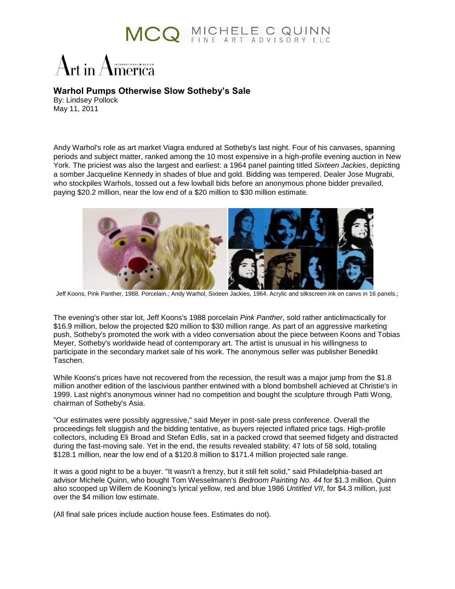## MCQ MICHELE C QUINN

INTERNATIONAL OREVIEW

## **Warhol Pumps Otherwise Slow Sotheby's Sale**

By: Lindsey Pollock May 11, 2011

Andy Warhol's role as art market Viagra endured at Sotheby's last night. Four of his canvases, spanning periods and subject matter, ranked among the 10 most expensive in a high-profile evening auction in New York. The priciest was also the largest and earliest: a 1964 panel painting titled *Sixteen Jackies*, depicting a somber Jacqueline Kennedy in shades of blue and gold. Bidding was tempered. Dealer Jose Mugrabi, who stockpiles Warhols, tossed out a few lowball bids before an anonymous phone bidder prevailed, paying \$20.2 million, near the low end of a \$20 million to \$30 million estimate.



Jeff Koons, Pink Panther, 1988. Porcelain.; Andy Warhol, Sixteen Jackies, 1964. Acrylic and silkscreen ink on canvs in 16 panels.;

The evening's other star lot, Jeff Koons's 1988 porcelain *Pink Panther*, sold rather anticlimactically for \$16.9 million, below the projected \$20 million to \$30 million range. As part of an aggressive marketing push, Sotheby's promoted the work with a video conversation about the piece between Koons and Tobias Meyer, Sotheby's worldwide head of contemporary art. The artist is unusual in his willingness to participate in the secondary market sale of his work. The anonymous seller was publisher Benedikt Taschen.

While Koons's prices have not recovered from the recession, the result was a major jump from the \$1.8 million another edition of the lascivious panther entwined with a blond bombshell achieved at Christie's in 1999. Last night's anonymous winner had no competition and bought the sculpture through Patti Wong, chairman of Sotheby's Asia.

"Our estimates were possibly aggressive," said Meyer in post-sale press conference. Overall the proceedings felt sluggish and the bidding tentative, as buyers rejected inflated price tags. High-profile collectors, including Eli Broad and Stefan Edlis, sat in a packed crowd that seemed fidgety and distracted during the fast-moving sale. Yet in the end, the results revealed stability: 47 lots of 58 sold, totaling \$128.1 million, near the low end of a \$120.8 million to \$171.4 million projected sale range.

It was a good night to be a buyer. "It wasn't a frenzy, but it still felt solid," said Philadelphia-based art advisor Michele Quinn, who bought Tom Wesselmann's *Bedroom Painting No. 44* for \$1.3 million. Quinn also scooped up Willem de Kooning's lyrical yellow, red and blue 1986 *Untitled VII*, for \$4.3 million, just over the \$4 million low estimate.

(All final sale prices include auction house fees. Estimates do not).